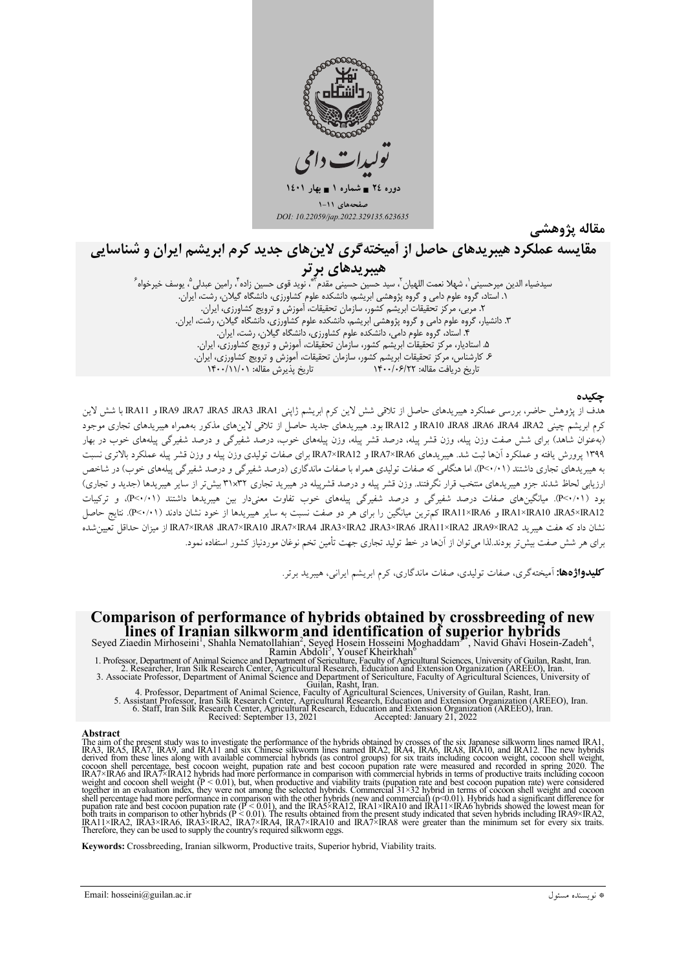

مقاله پژوهشے

# مقایسه عملکرد هیبریدهای حاصل از آمیختهگری لاینهای جدید کرم ابریشم ایران و شناسایی هیبریدهای برتر

سیدضیاء الدین میرحسینی ٰ، شهلا نعمت اللهیان ، سید حسینی حسینی مقدم ؓ ، نوید قوی حسین زاده ٔ، رامین عبدلی ْ، یوسف خیرخواه ٔ<br>۱. استاد، گروه علوم دامی و گروه پژوهشی ابریشم، دانشکده علوم کشاورزی، دانشگاه گیلان، رشت، ایران. ٢. مَرَبِّي، مَرْكَزِ تَحْقِيقَاتُ ابِرِيشُمْ كَشُورٌ، سازمان تحقيقاتُ، أَموزشٌ و ترويج كشاورزي، ايران. ۳. دانشیار، گروه علوم دامی و گروه پژوهشی آبریشم، دانشکده علوم کشاورزی، دانشگاه گیلان، رشت، ایران. ۴. استاد، گروه علوم دامی، دانشکده علوم کشاورزی، دانشگاه گیلان، رشت، ایران. ه استادیار، مرکز تحقیقات ابریشم کشور، سازمان تحقیقات، آموزش و ترویج کشاورزی، ایران.<br>در استادیار، مرکز تحقیقات ابریشم کشور، سازمان تحقیقات، آموزش و ترویج کشاورزی، ایران. ع كارشناس، مركز تحقيقات ابريشم كشور، سازمان تحقيقات، أموزشٌ و ترويج كشاورزى، ايران. تاً، يخ در يافت مقاله: ١٣٠٠/٠۶/٢٢ تاریخ پذیرش مقاله: ۱۴۰۰/۱۱/۰۱

#### چکیده

هدف از پژوهش حاضر، بررسی عملکرد هیبریدهای حاصل از تلاقی شش لاین کرم ابریشم ژاپنی IRA3 ،IRA3 ،IRA3 ،IRA1 و IRA11 با شش لاین كرم ابريشم چيني IRA10 JRA8 ،IRA6 ،IRA4 ،IRA2 و IRA12 بود. هيبريدهاي جديد حاصل از تلاقي لاينهاي مذكور بههمراه هيبريدهاي تجاري موجود (بهعنوان شاهد) برای شش صفت وزن پیله، وزن قشر پیله، درصد قشر پیله، وزن پیلههای خوب، درصد شفیرگی و درصد شفیرگی پیلههای خوب در بهار ۱۳۹۹ پرورش یافته و عملکرد آنها ثبت شد. هیبریدهای IRA7×IRA6 و IRA7×IRA12 برای صفات تولیدی وزن پیله و وزن قشر پیله عملکرد بالاتری نسبت به هیبریدهای تجاری داشتند (P<۰/۰۱)، اما هنگامی که صفات تولیدی همراه با صفات ماندگاری (درصد شفیرگی و درصد شفیرگی پیلههای خوب) در شاخص ارزیابی لحاظ شدند جزو هیبریدهای منتخب قرار نگرفتند. وزن قشر پیله و درصد قشرپیله در هیبرید تجاری ۳۱×۳۱ بیشتر از سایر هیبریدها (جدید و تجاری) بود (P<۰/۱). میانگینهای صفات درصد شفیرگی و درصد شفیرگی پیلههای خوب تفاوت معنیدار بین هیبریدها داشتند (P<۰/۱)، و ترکیبات RA1×IRA10 ،IRA5×IRA12 و RA11×IRA6 كم ترين ميانگين را براى هر دو صفت نسبت به ساير هيبريدها از خود نشان دادند (١٠١-٣). نتايج حاصل نشان داد که هفت هسربد IRA7×IRA8 ،IRA7×IRA10 ،IRA7×IRA4 ،IRA3×IRA2 ،IRA3×IRA6 ،IRA11×IRA2 ،IRA9×IRA2 از مبران حداقل تعسر شده برای هر شش صفت بیش تر بودند.لذا می توان از آنها در خط تولید تجاری جهت تأمین تخم نوغان موردنیاز کشور استفاده نمود.

**کلیدواژهها:** آمیختهگری، صفات تولیدی، صفات ماندگاری، کرم ابریشم ایرانی، هیبرید برتر.

## Comparison of performance of hybrids obtained by crossbreeding of new lines of Iranian silkworm and identification of superior hybrids

Seyed Ziaedin Mirhoseini<sup>1</sup>, Shahla Nematollahian<sup>2</sup>, Seyed Hosein Hosseini Moghaddam<sup>3</sup>, Navid Ghavi Hosein-Zadeh<sup>4</sup>,<br>1. Professor, Department of Animal Science and Department of Sericulture, Faculty of Agricultural Scien

4. Professor, Department of Animal Science, Guilan, Rasht, Iran.<br>5. Assistant Professor, Iran Silk Research Center, Agricultural Research, Education and Extension Organization (AREEO), Iran.<br>6. Staff, Iran Silk Research Ce

**Abstract**<br>The aim of the present study was to investigate the performance of the hybrids obtained by crosses of the six Japanese silkworm lines named IRA1,<br>IRA3, IRA5, IRA6, IRA69, and IRA11 and six Chinese silkworm line

Keywords: Crossbreeding, Iranian silkworm, Productive traits, Superior hybrid, Viability traits.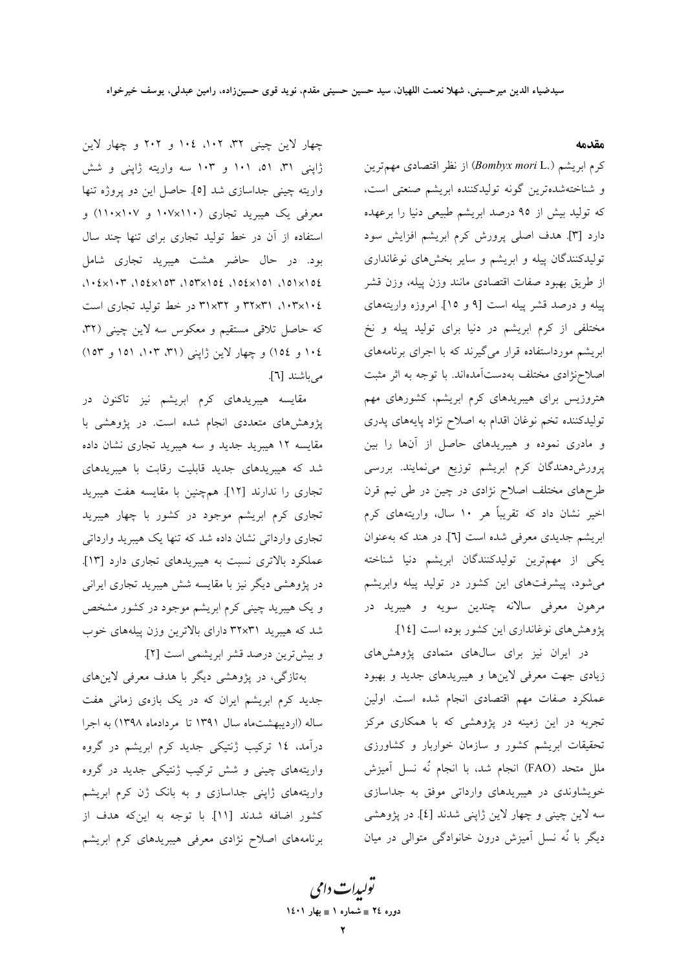مقدمه

كرم ابريشم (.Bombyx mori L) از نظر اقتصادى مهم ترين و شناختهشدهترین گونه تولیدکننده ابریشم صنعتی است، که تولید بیش از ۹۵ درصد ابریشم طبیعی دنیا را برعهده دارد [۳]. هدف اصلی پرورش کرم ابریشم افزایش سود تولیدکنندگان پیله و ابریشم و سایر بخشهای نوغانداری از طريق بهبود صفات اقتصادى مانند وزن پيله، وزن قشر پیله و درصد قشر پیله است [۹ و ۱۵]. امروزه واریتههای مختلفی از کرم ابریشم در دنیا برای تولید پیله و نخ ابریشم مورداستفاده قرار میگیرند که با اجرای برنامههای اصلاحزژادی مختلف بهدستآمدهاند. با توجه به اثر مثبت هتروزیس برای هیبریدهای کرم ابریشم، کشورهای مهم تولیدکننده تخم نوغان اقدام به اصلاح نژاد پایههای پدری و مادری نموده و هیبریدهای حاصل از آنها را بین پرورش،دهندگان کرم ابریشم توزیع می'مایند. بررسی طرحهای مختلف اصلاح نژادی در چین در طی نیم قرن اخیر نشان داد که تقریباً هر ۱۰ سال، واریتههای کرم ابریشم جدیدی معرفی شده است [٦]. در هند که بهعنوان یکی از مهمترین تولیدکنندگان ابریشم دنیا شناخته می شود، پیشرفتهای این کشور در تولید پیله وابریشم مرهون معرفی سالانه چندین سویه و هیبرید در پژوهشهای نوغانداری این کشور بوده است [١٤].

در ایران نیز برای سالهای متمادی پژوهشهای زیادی جهت معرفی لاینها و هیبریدهای جدید و بهبود عملکرد صفات مهم اقتصادی انجام شده است. اولین تجربه در این زمینه در پژوهشی که با همکاری مرکز تحقیقات ابریشم کشور و سازمان خواربار و کشاورزی ملل متحد (FAO) انجام شد، با انجام نُه نسل آميزش خویشاوندی در هیبریدهای وارداتی موفق به جداسازی سه لاين چينې و چهار لاين ژاپنې شدند [٤]. در پژوهشي دیگر با نُه نسل آمیزش درون خانوادگی متوالی در میان

چهار لاین چینی ۳۲، ۱۰۲، ۱۰٤ و ۲۰۲ و چهار لاین ژاپنی ۳۱، ۵۱، ۱۰۱ و ۱۰۳ سه واریته ژاپنی و شش واريته چيني جداسازي شد [٥] حاصل اين دو پروژه تنها معرفی یک هیبرید تجاری (۱۰۷×۱۰۷ و ۱۱۰×۱۱۰) و استفاده از آن در خط تولید تجاری برای تنها چند سال بود. در حال حاضر هشت هیبرید تجاری شامل  $(1 + \xi \times 1 + T)$  dextor dorxles destel details ۰۱۰۳×۰۱۰ (۳۲×۳۲ و ۳۱×۳۱ در خط تولید تجاری است که حاصل تلاقی مستقیم و معکوس سه لاین چینی (۳۲، ١٠٤ و ١٥٤) و چهار لاين ژاپني (٣١، ١٠٣، ١٥١ و ١٥٣) میباشند [٦].

مقایسه هیبریدهای کرم ابریشم نیز تاکنون در پژوهشهای متعددی انجام شده است. در پژوهشی با مقایسه ۱۲ هیبرید جدید و سه هیبرید تجاری نشان داده شد که هیبریدهای جدید قابلیت رقابت با هیبریدهای تجاری را ندارند [۱۲]. همچنین با مقایسه هفت هیبرید تجاری کرم ابریشم موجود در کشور با چهار هیبرید تجاري وارداتي نشان داده شد كه تنها يک هيبريد وارداتي عملکرد بالاتری نسبت به هیبریدهای تجاری دارد [۱۳]. در پژوهشی دیگر نیز با مقایسه شش هیبرید تجاری ایرانی و یک هیبرید چینی کرم ابریشم موجود در کشور مشخص شد که هیبرید ۳۲×۳۲ دارای بالاترین وزن پیلههای خوب و بيش ترين درصد قشر ابريشمي است [٢].

بهتازگی، در پژوهشی دیگر با هدف معرفی لاینهای جدید کرم ابریشم ایران که در یک بازهی زمانی هفت ساله (اردیبهشتماه سال ۱۳۹۱ تا مردادماه ۱۳۹۸) به اجرا درآمد، ۱٤ ترکیب ژنتیکی جدید کرم ابریشم در گروه واریتههای چینی و شش ترکیب ژنتیکی جدید در گروه واریتههای ژاپنی جداسازی و به بانک ژن کرم ابریشم كشور اضافه شدند [١١]. با توجه به اينكه هدف از برنامههای اصلاح نژادی معرفی هیبریدهای کرم ابریشم

تو<sub>لیدا</sub>ت دامی دوره ٢٤ = شماره ١ = بهار ١٤٠١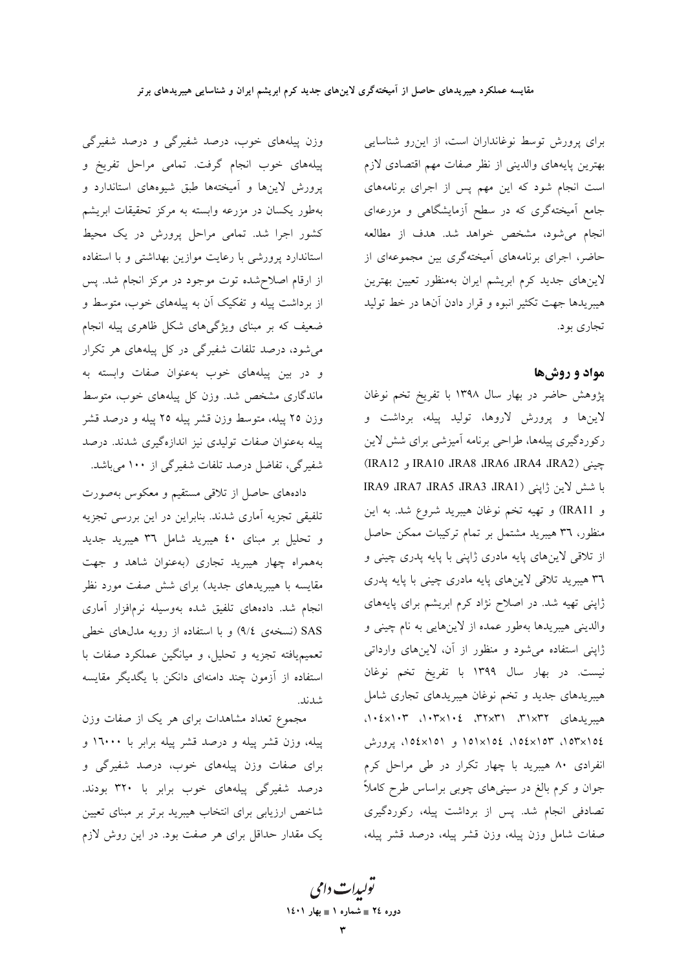برای پرورش توسط نوغانداران است، از این رو شناسایی بهترين پايههاى والدينى از نظر صفات مهم اقتصادى لازم است انجام شود که این مهم پس از اجرای برنامههای جامع آمیختهگری که در سطح آزمایشگاهی و مزرعهای انجام میشود، مشخص خواهد شد. هدف از مطالعه حاضر، اجرای برنامههای آمیختهگری بین مجموعهای از لاینهای جدید کرم ابریشم ایران بهمنظور تعیین بهترین هیبریدها جهت تکثیر انبوه و قرار دادن آنها در خط تولید تجاري بود.

### مواد و روشها

یژوهش حاضر در بهار سال ۱۳۹۸ با تفریخ تخم نوغان لاینها و پرورش لاروها، تولید پیله، برداشت و رکوردگیری پیلهها، طراحی برنامه آمیزشی برای شش لاین چيني (IRA12 JRA10 JRA8 JRA6 JRA4 JRA2) و IRA12) با شش لاين ژاپني (IRA3 ،IRA3 ،IRA1 وIRA9 و IRA11) و تهيه تخم نوغان هيبريد شروع شد. به اين منظور، ٣٦ هيبريد مشتمل بر تمام تركيبات ممكن حاصل از تلاقی لاینهای پایه مادری ژاپنی با پایه پدری چینی و ۳٦ هیبرید تلاقی لاینهای پایه مادری چینی با پایه پدری ژاپنی تهیه شد. در اصلاح نژاد کرم ابریشم برای پایههای والدینی هیبریدها بهطور عمده از لاینهایی به نام چینی و ژاپنی استفاده می شود و منظور از آن، لاینهای وارداتی نیست. در بهار سال ۱۳۹۹ با تفریخ تخم نوغان هیبریدهای جدید و تخم نوغان هیبریدهای تجاری شامل هیبریدهای ۳۱×۳۱، ۳۱×۳۲، ۱۰۳×۰۰۲، ۱۰۴×۱۰۴، ۱۵۴×۱۵۲، ۱۵۱×۱۵٤، ۱۵۱×۱۵۱ و ۱۵۱×۱۵٤، پرورش انفرادی ۸۰ هیبرید با چهار تکرار در طی مراحل کرم جوان و کرم بالغ در سینیهای چوبی براساس طرح کاملاً تصادفی انجام شد. پس از برداشت پیله، رکوردگیری صفات شامل وزن پیله، وزن قشر پیله، درصد قشر پیله،

وزن پیلههای خوب، درصد شفیرگی و درصد شفیرگی پیلههای خوب انجام گرفت. تمامی مراحل تفریخ و پرورش لاینها و آمیختهها طبق شیوههای استاندارد و بهطور يكسان در مزرعه وابسته به مركز تحقيقات ابريشم کشور اجرا شد. تمامی مراحل پرورش در یک محیط استاندارد پرورشی با رعایت موازین بهداشتی و با استفاده از ارقام اصلاحشده توت موجود در مرکز انجام شد. پس از برداشت پیله و تفکیک آن به پیلههای خوب، متوسط و ضعیف که بر مبنای ویژگیهای شکل ظاهری پیله انجام می شود، درصد تلفات شفیرگی در کل پیلههای هر تکرار و در بین پیلههای خوب بهعنوان صفات وابسته به ماندگاری مشخص شد. وزن کل پیلههای خوب، متوسط وزن ۲۵ پیله، متوسط وزن قشر پیله ۲۵ پیله و درصد قشر پیله بهعنوان صفات تولیدی نیز اندازهگیری شدند. درصد شفیر گی، تفاضل درصد تلفات شفیر گی از ۱۰۰ میباشد.

دادههای حاصل از تلاقی مستقیم و معکوس بهصورت تلفیقی تجزیه آماری شدند. بنابراین در این بررسی تجزیه و تحلیل بر مبنای ٤٠ هیبرید شامل ٣٦ هیبرید جدید بههمراه چهار هیبرید تجاری (بهعنوان شاهد و جهت مقایسه با هیبریدهای جدید) برای شش صفت مورد نظر انجام شد. دادههای تلفیق شده بهوسیله نرمافزار آماری SAS (نسخهی ۹/٤) و با استفاده از رویه مدلهای خطی تعمیمیافته تجزیه و تحلیل، و میانگین عملکرد صفات با استفاده از آزمون چند دامنهای دانکن با یگدیگر مقایسه شدند.

مجموع تعداد مشاهدات برای هر یک از صفات وزن پیله، وزن قشر پیله و درصد قشر پیله برابر با ۱٦٠٠٠ و برای صفات وزن پیلههای خوب، درصد شفیرگی و درصد شفیرگی پیلههای خوب برابر با ۳۲۰ بودند. شاخص ارزیابی برای انتخاب هیبرید برتر بر مبنای تعیین یک مقدار حداقل برای هر صفت بود. در این روش لازم

تو<sub>لیدا</sub>ت دامی دوره ٢٤ = شماره ١ = بهار ١٤٠١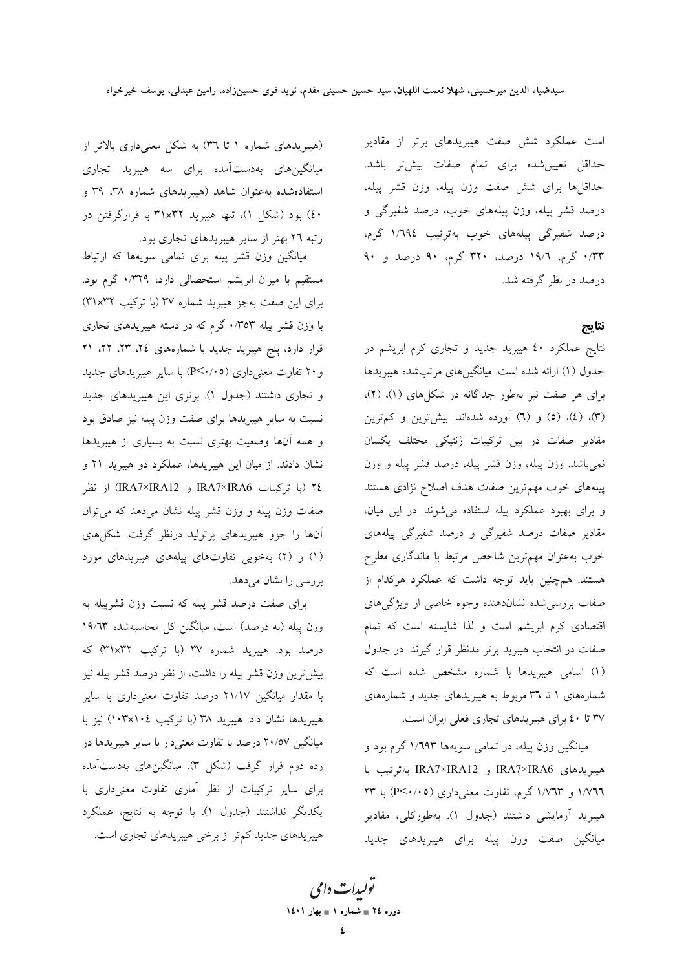است عملکرد شش صفت هیبریدهای برتر از مقادیر حداقل تعیین شده برای تمام صفات بیشتر باشد. حداقلها برای شش صفت وزن پیله، وزن قشر پیله، درصد قشر پیله، وزن پیلههای خوب، درصد شفیرگی و درصد شفیرگی پیلههای خوب بهترتیب ١/٦٩٤ گرم، ۰/۳۳ گرم، ۱۹/٦ درصد، ۳۲۰ گرم، ۹۰ درصد و ۹۰ درصد در نظر گرفته شد.

# نتاتج

نتایج عملکرد ٤٠ هیبرید جدید و تجاری کرم ابریشم در جدول (١) ارائه شده است. میانگینهای مرتب شده هیبریدها برای هر صفت نیز بهطور جداگانه در شکلهای (۱)، (۲)، (٣)، (٤)، (٥) و (٦) أورده شدهاند. بيش ترين و كم ترين مقادیر صفات در بین ترکیبات ژنتیکی مختلف یکسان نمي باشد. وزن پيله، وزن قشر پيله، درصد قشر پيله و وزن پیلههای خوب مهمترین صفات هدف اصلاح نژادی هستند و برای بهبود عملکرد پیله استفاده می شوند. در این میان، مقادیر صفات درصد شفیرگی و درصد شفیرگی پیلههای خوب بهعنوان مهمترين شاخص مرتبط با ماندگارى مطرح هستند. همچنین باید توجه داشت که عملکرد هرکدام از صفات بررسیشده نشاندهنده وجوه خاصی از ویژگیهای اقتصادی کرم ابریشم است و لذا شایسته است که تمام صفات در انتخاب هیبرید برتر مدنظر قرار گیرند. در جدول (۱) اسامی هیبریدها با شماره مشخص شده است که شمارههای ۱ تا ۳٦ مربوط به هیبریدهای جدید و شمارههای ۴۷ تا ٤٠ براي هيبريدهاي تجاري فعلي ايران است.

میانگین وزن پیله، در تمامی سویهها ۱/٦٩٣ گرم بود و هيبريدهاي IRA7×IRA12 و IRA7×IRA12 بهترتيب با ۱/۷٦٦ و ۱/۷٦۳ گرم، تفاوت معنیداری (۴</۰>) با ۲۳ هيبريد آزمايشي داشتند (جدول ١). بهطوركلي، مقادير میانگین صفت وزن پیله برای هیبریدهای جدید

(هیبریدهای شماره ۱ تا ۳٦) به شکل معنیداری بالاتر از میانگینهای بهدستآمده برای سه هیبرید تجاری استفادهشده بهعنوان شاهد (هیبریدهای شماره ۳۸، ۳۹ و ٤٠) بود (شكل ١)، تنها هيبريد ٣١×٣١ با قرارگرفتن در رتبه ۲٦ بهتر از سایر هیبریدهای تجاری بود.

میانگین وزن قشر پیله برای تمامی سویهها که ارتباط مستقيم با ميزان ابريشم استحصالي دارد، ٠/٣٢٩ گرم بود. برای این صفت بهجز هیبرید شماره ۳۷ (با ترکیب ۳۱×۳۱) با وزن قشر پیله ۰/۳۵۳ گرم که در دسته هیبریدهای تجاری قرار دارد، پنج هیبرید جدید با شمارههای ٢٤، ٢٣، ٢٢، ٢١ و ۲۰ تفاوت معنیداری (۴٬۰۰۵) با سایر هیبریدهای جدید و تجاری داشتند (جدول ۱). برتری این هیبریدهای جدید نسبت به سایر هیبریدها برای صفت وزن پیله نیز صادق بود و همه آنها وضعیت بهتری نسبت به بسیاری از هیبریدها نشان دادند. از میان این هیبریدها، عملکرد دو هیبرید ۲۱ و ٢٤ (با تركيبات IRA7×IRA6 و IRA7×IRA12) از نظر صفات وزن پیله و وزن قشر پیله نشان می دهد که می توان آنها را جزو هیبریدهای پرتولید درنظر گرفت. شکلهای (۱) و (۲) بهخوبی تفاوتهای پیلههای هیبریدهای مورد بررسی را نشان میدهد.

برای صفت درصد قشر پیله که نسبت وزن قشرپیله به وزن پیله (به درصد) است، میانگین کل محاسبهشده ۱۹/٦۳ درصد بود. هیبرید شماره ۳۷ (با ترکیب ۳۱×۳۱) که بيش ترين وزن قشر پيله را داشت، از نظر درصد قشر پيله نيز با مقدار میانگین ۲۱/۱۷ درصد تفاوت معنیداری با سایر هیبریدها نشان داد. هیبرید ۳۸ (با ترکیب ۱۰٤×۱۰۲) نیز با میانگین ۲۰/۵۷ درصد با تفاوت معنیدار با سایر هیبریدها در رده دوم قرار گرفت (شکل ۳). میانگینهای بهدستآمده برای سایر ترکیبات از نظر آماری تفاوت معنیداری با يكديگر نداشتند (جدول ١). با توجه به نتايج، عملكرد هیبریدهای جدید کمتر از برخی هیبریدهای تجاری است.

تو<sub>لیدا</sub>ت دامی دوره ٢٤ = شماره ١ = بهار ١٤٠١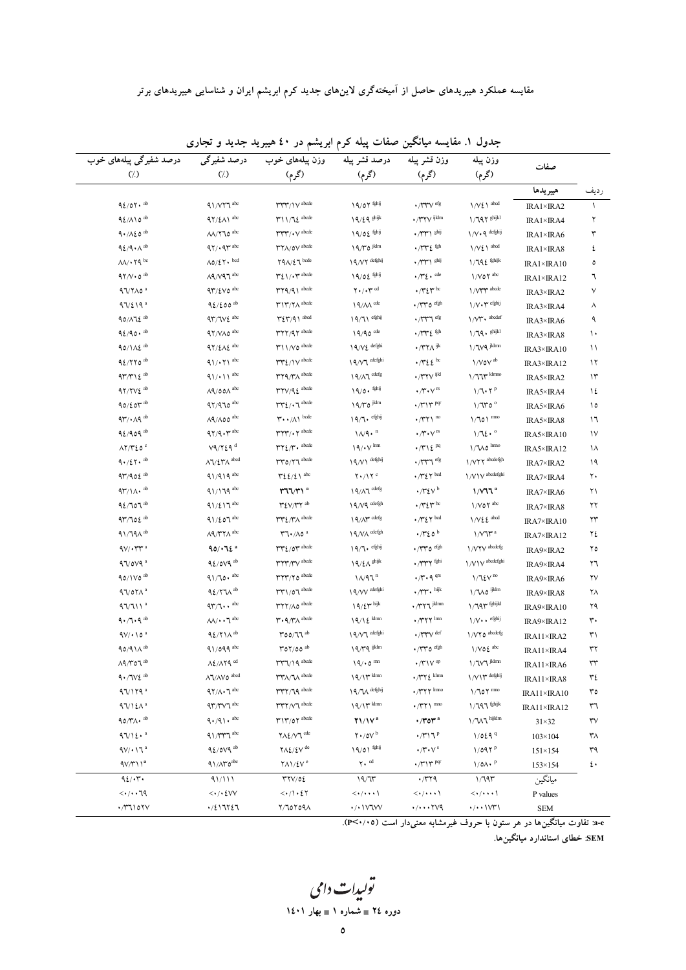| <mark>درصد شفیر</mark> گی پیلههای خوب<br>$\left(\frac{1}{2}\right)$ | درصد شفیرگی<br>$\left(\frac{1}{2}\right)$                       | وزن پیلههای خوب<br>(گرم)                                                                                                                         | <mark>درصد ق</mark> شر پیله<br>(گرم)                                                                                                 | __<br>وزن قشر پیله<br>(گرم)                                                                                                 | وزن ييله<br>(گرم)                                                                                      |                    |                        |
|---------------------------------------------------------------------|-----------------------------------------------------------------|--------------------------------------------------------------------------------------------------------------------------------------------------|--------------------------------------------------------------------------------------------------------------------------------------|-----------------------------------------------------------------------------------------------------------------------------|--------------------------------------------------------------------------------------------------------|--------------------|------------------------|
|                                                                     |                                                                 |                                                                                                                                                  |                                                                                                                                      |                                                                                                                             |                                                                                                        | صفات               |                        |
|                                                                     |                                                                 |                                                                                                                                                  |                                                                                                                                      |                                                                                                                             |                                                                                                        | هيبريدها           | رديف                   |
| $92/07 \cdot ab$                                                    | $91/VT1^{abc}$                                                  | $\mathop{\rm \bf tr}\nolimits\hspace{-0.07cm}\mathop{\rm \bf Tr}\nolimits^{\mathop{\rm \bf r}\nolimits}/\mathop{\rm \bf W}\nolimits^{\rm abcde}$ | $19/07$ fghij                                                                                                                        | $\boldsymbol{\cdot}$ / $\boldsymbol{\gamma}$ / $\boldsymbol{\gamma}$ / $\boldsymbol{\gamma}$ / $\boldsymbol{\gamma}$        | $1/V\mathcal{E}$ $V$ $^{\text{abcd}}$                                                                  | $IRA1 \times IRA2$ | $\lambda$              |
| $92/\lambda$ 10 <sup>ab</sup>                                       | $97/2\Lambda1$ abc                                              | $Y \setminus \bigwedge Y$ abode                                                                                                                  | $19/29$ ghijk                                                                                                                        | $\cdot$ / $\gamma$ $\gamma$ v $\gamma$ <sup>yklm</sup>                                                                      | $1/797$ ghijkl                                                                                         | IRA1×IRA4          | ۲                      |
| $9.1160$ <sup>ab</sup>                                              | $MN$ $70$ <sup>abc</sup>                                        | $\mathsf{H}\mathsf{H}^\prime\mathsf{H}^\prime\mathsf{H}^\prime\mathsf{H}^\prime$ abode                                                           | $19/02$ fghij                                                                                                                        | $\cdot$ / $\uparrow \uparrow \uparrow$ shij                                                                                 | $\setminus/\bigvee$ + $\bigtriangleup$ defghij                                                         | IRA1×IRA6          | ٣                      |
| $92/9 \cdot A^{ab}$                                                 | $97/19$ abc                                                     | <b><i>TYA/OV</i></b> abode                                                                                                                       | $\ensuremath{\mathsf{1}\,}\xspace\ensuremath{\mathsf{Q}}\xspace/\ensuremath{\mathsf{r}}\xspace\ensuremath{\mathsf{o}}\xspace$ jklm   | $\boldsymbol{\cdot} / \boldsymbol{\Upsilon} \boldsymbol{\Upsilon}$ $\boldsymbol{\xi}$ $\boldsymbol{\mathsf{fgh}}$           | $1/V\ell 1^{abcd}$                                                                                     | IRA1×IRA8          | ٤                      |
| $M/r$ $q^{bc}$                                                      | $\Lambda\text{O}/\xi\Upsilon\star\text{ }^{bcd}$                | $Y9A/ZJ$ bode                                                                                                                                    | 19/VY defghij                                                                                                                        | $\cdot$ / $\uparrow \uparrow \uparrow$ \ shij                                                                               | $1/79\xi$ fghijk                                                                                       | IRA1×IRA10         | ٥                      |
| $97/V \cdot 0^{ab}$                                                 | $\Lambda$ 9/ $V$ 97 abc                                         | $\Upsilon\{\cdot\}$ abode                                                                                                                        | $19/02$ fghij                                                                                                                        | $\cdot$ /۳٤ $\cdot$ <sup>cde</sup>                                                                                          | $1/V$ o $Y$ <sup>abc</sup>                                                                             | IRA1×IRA12         | ٦                      |
| $97/7$ $0^a$                                                        | $4\mathsf{r}/\mathsf{t}$ vo abc                                 | $rrq/q \mid$ abode                                                                                                                               | $Y \cdot / \cdot Y^{\text{cd}}$                                                                                                      | $\cdot \pi$                                                                                                                 | 1/VYY abcde                                                                                            | IRA3×IRA2          | ٧                      |
| $97/219$ <sup>a</sup>                                               | $92/200$ <sup>ab</sup>                                          | $\Upsilon \Upsilon / \Upsilon / \Delta^{abcde}$                                                                                                  | $19/M$ <sup>ode</sup>                                                                                                                | $\cdot$ / $\gamma\gamma$ o efgh                                                                                             | $\mathord{\mathcal{W}}\mathord{\mathcal{N}}\mathord{\mathcal{N}}$ efghij                               | IRA3×IRA4          | ٨                      |
| $90/\lambda$                                                        | $4\mathsf{r}/\mathsf{t}\vee\mathsf{t}$ <sup>abc</sup>           | $\Upsilon \Sigma \Upsilon / 91$ <sup>abcd</sup>                                                                                                  | $19/71$ efghij                                                                                                                       | $\boldsymbol{\cdot}$ י<br>יריך ליידו                                                                                        | $1/\mathsf{M}^{\bullet} \cdot \text{abcdef}$                                                           | IRA3×IRA6          | ٩                      |
| $92/90 \cdot ab$                                                    | $\ensuremath{\mathsf{AT}/\mathsf{VAO}}\xspace$ abc              | $\Upsilon \Upsilon \Upsilon / 9 \Upsilon$ abode                                                                                                  | $19/90$ are                                                                                                                          | $\boldsymbol{\cdot} / \boldsymbol{\Upsilon} \boldsymbol{\Upsilon}$ $\boldsymbol{\xi}$ $\boldsymbol{\mathsf{fgh}}$           | $1/79 \cdot$ ghijkl                                                                                    | IRA3×IRA8          | ۱۰                     |
| $90/112$ <sup>ab</sup>                                              | $97/\xi\Lambda\xi$ abc                                          | $Y \setminus \mathcal{N}$ abode                                                                                                                  | $19/V$ defghi                                                                                                                        | $\cdot$ / $\uparrow\uparrow\uparrow\uparrow$ $\downarrow$                                                                   | $1/TVQ$ <sup>jklmn</sup>                                                                               | IRA3×IRA10         | ۱۱                     |
| $92/770$ <sup>ab</sup>                                              | $91/171$ abc                                                    | $\Upsilon \Upsilon$ / $\Upsilon$ <sup>abcde</sup>                                                                                                | $\frac{1}{2}$ $\sqrt{7}$ odefghi                                                                                                     | $\boldsymbol{\cdot} \mathcal{N} \boldsymbol{\mathcal{E}} \, \boldsymbol{\mathcal{E}}$ bc                                    | $\ensuremath{\mathcal{N}}\xspace$ /VoV $^{\text{ab}}$                                                  | IRA3×IRA12         | ۱۲                     |
| $\mathfrak{P}(\mathbf{r})\in \mathbb{C}^{\mathrm{ab}}$              | $91/11^{abc}$                                                   | $\mathsf{YY} \mathsf{Q} / \mathsf{Y} \Lambda^{abcde}$                                                                                            | $19/\lambda$ defg                                                                                                                    | $\boldsymbol{\cdot}$ /<br>$\boldsymbol{\Upsilon}$ / $\boldsymbol{\Upsilon}$ $\boldsymbol{\Upsilon}$ $\boldsymbol{\Upsilon}$ | $\mathcal{N}$ לאי אויג                                                                                 | IRA5×IRA2          | ۱۳                     |
| $4Y/YV\ell^{ab}$                                                    | $\Lambda {\mathsf{Q}} / {\mathsf{OO}} \Lambda^{\,\mathrm{abc}}$ | $\Upsilon \Upsilon V/ \Psi \, \xi^{\text{ abcde}}$                                                                                               | $19/0 \cdot$ fghij                                                                                                                   | $\cdot$ / $\checkmark$ $\checkmark$ $\checkmark$ is                                                                         | $1/1 \cdot 7^p$                                                                                        | IRA5×IRA4          | ١٤                     |
| $90/201^{\circ}$ ab                                                 | $97/970$ abc                                                    | $\Upsilon\Upsilon\zeta/\cdot\Upsilon$ abode                                                                                                      | $\ensuremath{\mathsf{I}}\xspace\ensuremath{\mathsf{I}}\xspace/\ensuremath{\mathsf{r}}\xspace\ensuremath{\mathsf{o}}\xspace$ j<br>klm | $\cdot$ / $\uparrow$ $\uparrow$ $\uparrow$ $\uparrow$ $\uparrow$ $\uparrow$                                                 | $1/T$ 0 $^{\circ}$                                                                                     | IRA5×IRA6          | ۱٥                     |
| $4r/\cdot$ $\wedge$ $4^{ab}$                                        | $\Lambda$ 9/ $\Lambda$ 00 abc                                   | $\mathbf{Y} \boldsymbol{\cdot} \boldsymbol{\cdot} / \Lambda$ ) bode                                                                              | $19/7 \cdot$ efghij                                                                                                                  | $\cdot$ / $\uparrow$ $\uparrow$ $\uparrow$ $\uparrow$                                                                       | $1/101$ mmo                                                                                            | IRA5×IRA8          | ۱٦                     |
| $92/909$ <sup>ab</sup>                                              | $97/9 \cdot Y^{abc}$                                            | $\mathsf{r}\mathsf{r}\mathsf{r}\mathsf{r}'\mathsf{r}\bullet\mathsf{r}$ abode                                                                     | $1/\sqrt{9} \cdot$ <sup>n</sup>                                                                                                      | $\cdot$ / $\checkmark$ $\cdot$ $\checkmark$ $\Gamma$ s                                                                      | $1/12 \cdot 0$                                                                                         | IRA5×IRA10         | $\mathcal{N}$          |
| $\lambda Y/YZ0°$                                                    | V9/Y29 <sup>d</sup>                                             | $\mathsf{YY} \xi / \mathsf{Y}$ . abcde                                                                                                           | $19/1$ $V$ $\text{lmn}$                                                                                                              | $\cdot$ / $\uparrow$ ) { $^{pq}$                                                                                            | $1/\sqrt{0}$ lmno                                                                                      | IRA5×IRA12         | ۱٨                     |
| $9.127.$ <sup>ab</sup>                                              | ለኂ/ ይ۳ ላ <sup>abcd</sup>                                        | TY0/YJ abcde                                                                                                                                     | 19/V1 defghij                                                                                                                        | $\cdot$ / $\gamma$ $\sim$ $\gamma$ $\cdot$ $\sim$ $\gamma$                                                                  | YYYY <sup>abcdefgh</sup>                                                                               | IRA7×IRA2          | ۱۹                     |
| $47/90E^{ab}$                                                       | $91/919$ <sup>abc</sup>                                         | $\Upsilon\mathcal{L}/\mathcal{L}\setminus\ ^{\text{abc}}$                                                                                        | $Y'/Y^c$                                                                                                                             | $\boldsymbol{\cdot} \mathcal{N} \boldsymbol{\mathcal{E}} \boldsymbol{\gamma}$ bed                                           | \/V\V abcdefghi                                                                                        | IRA7×IRA4          | ٢٠                     |
| $97'/\Lambda \cdot$ <sup>ab</sup>                                   | $91/179$ abc                                                    | $T\Upsilon\Upsilon/T$                                                                                                                            | $19/\lambda$ 7 defg                                                                                                                  | $\cdot$ / $\gamma$ { $\vee$ b                                                                                               | 1/V17 <sup>a</sup>                                                                                     | IRA7×IRA6          | ۲۱                     |
| $92/707^{ab}$                                                       | $91/217$ <sup>abc</sup>                                         | $Y \text{E} V/Y$ <sup>ab</sup>                                                                                                                   | 19/V9 cdefgh                                                                                                                         | $\cdot$ / $\gamma$ $\epsilon$ $\gamma$ $\mu$ $\infty$                                                                       | $1/V$ $07$ abc                                                                                         | IRA7×IRA8          | ۲۲                     |
| $97702^{ab}$                                                        | $91/207$ <sup>abc</sup>                                         | $\text{YY} \text{Z} / \text{Y} \text{A}^{\text{abcde}}$                                                                                          | $19/\Lambda^{\omega}$ cdefg                                                                                                          | $\cdot$ / $\gamma$ $\zeta$ $\gamma$ $\alpha$                                                                                | $1/V22^{abcd}$                                                                                         | IRA7×IRA10         | ۲۳                     |
| $91/79\Lambda^{ab}$                                                 | $\Lambda$ 9/٣٢ $\Lambda$ <sup>abc</sup>                         | $T\rightarrow A$                                                                                                                                 | $19/N\Lambda$ cdefgh                                                                                                                 | $\cdot$ / $\cdot$ / $\cdot$ / $\cdot$                                                                                       | $1/V$ $V^a$                                                                                            | IRA7×IRA12         | ۲٤                     |
| $9V/\cdot$ rra                                                      | $90/12^{a}$                                                     | $\Upsilon\Upsilon\zeta/\delta\Upsilon$ abode                                                                                                     | $19/7 \cdot$ efghij                                                                                                                  | $\boldsymbol{\cdot}$ /<br>$\boldsymbol{\gamma} \boldsymbol{\gamma}$ o $\mathrm{efgh}$                                       | $\frac{1}{\sqrt{V}}$                                                                                   | IRA9×IRA2          | ۲٥                     |
| $97/0V9$ <sup>a</sup>                                               | $92/0V9$ <sup>ab</sup>                                          | <b><i>TYT/TV</i></b> abode                                                                                                                       | $19/2\Lambda$ ghijk                                                                                                                  | $\boldsymbol{\cdot}$ / $\gamma\gamma\gamma$ $^{\rm fghi}$                                                                   | \/V\V abcdefghi                                                                                        | IRA9×IRA4          | ٢٦                     |
| $90/1V0^{ab}$                                                       | $91/70 \cdot \text{abc}$                                        | $\Upsilon \Upsilon \Upsilon / \Upsilon$ abcde                                                                                                    | $\Lambda/4$ $\Lambda$ <sup>n</sup>                                                                                                   | $\cdot$ / $\uparrow$ $\cdot$ $\uparrow$ $\uparrow$ $\uparrow$                                                               | $1/12V^{10}$                                                                                           | IRA9×IRA6          | $\mathsf{Y}\mathsf{V}$ |
| 97/07 <sup>a</sup>                                                  | $92/77\text{A}^{ab}$                                            | $\uparrow\uparrow\uparrow$ 1/07 abode                                                                                                            | 19/W <sup>cdefghi</sup>                                                                                                              | $\boldsymbol{\cdot} / \boldsymbol{\Upsilon} \boldsymbol{\Upsilon} \boldsymbol{\cdot}$ hijk                                  | $1/\sqrt{10}$ ijklm                                                                                    | IRA9×IRA8          | ۲۸                     |
| 97/111 <sup>a</sup>                                                 | $977 \cdot \cdot \text{abc}$                                    | $\Upsilon \Upsilon \Upsilon / \Lambda \phi$ abode                                                                                                | $\ensuremath{\mathcal{N}}\xspace(\ensuremath{\mathcal{L}}\xspace^\mathrm{w})$ hijk                                                   | $\cdot$ / $\uparrow$ $\uparrow$ $\uparrow$ $\downarrow$ $\downarrow$ $\downarrow$ $\downarrow$ $\downarrow$                 | $1/791^{\circ}$ fghijkl                                                                                | IRA9×IRA10         | ۲۹                     |
| $9.71.9^{ab}$                                                       | $\mathcal{M}/\cdot\cdot\mathcal{A}^{\text{abc}}$                | $\mathbf{Y} \bullet \mathbf{9} / \mathbf{Y} \wedge \text{ }^{\text{abcde}}$                                                                      | $19/12$ klmn                                                                                                                         | $\boldsymbol{\cdot}$ /לץ $\boldsymbol{\cdot}$ lmn                                                                           | $\setminus/\bigvee \bullet \bullet$ efghij                                                             | IRA9×IRA12         | ٣٠                     |
| $9V/\cdot 10^{a}$                                                   | $92/71\text{A}^{ab}$                                            | $\Upsilon \mathfrak{0} \mathfrak{0} / \Upsilon \Upsilon^{ab}$                                                                                    | 19/V defight                                                                                                                         | $\boldsymbol{\cdot}$ /<br>YYV $\operatorname{def}$                                                                          | 1/VY 0 abodefg                                                                                         | IRA11×IRA2         | ٣١                     |
| $90/91\text{A}^{ab}$                                                | $91/099^{abc}$                                                  | $\Upsilon \mathfrak{d} \Upsilon / \mathfrak{d} \mathfrak{d} \ ^{ab}$                                                                             | $19/T9$ ijklm                                                                                                                        | $\cdot$ / $\gamma\gamma$ o efgh                                                                                             | $1/V$ 0 $\pmb{\xi}$ $^{\text{abc}}$                                                                    | IRA11×IRA4         | ٣٢                     |
| $\Lambda$ 9/ $\Upsilon$ 07 ab                                       | $\lambda$ 2/179 $^{\text{cd}}$                                  | $\mathsf{r}\mathsf{r}\mathsf{r}\mathsf{r}$ /19 abode                                                                                             | $19/0$ m                                                                                                                             | $\cdot$ / $\uparrow$ $\vee$ $\circ$ $\circ$                                                                                 | 1/IVI jklmn                                                                                            | IRA11×IRA6         | ٣٣                     |
| $9.7V\epsilon^{ab}$                                                 | $\Lambda$ V/AV $^{\text{abcd}}$                                 | $\mathsf{YY}\Lambda/\mathsf{U}$ abode                                                                                                            | $19/17$ <sup>klmn</sup>                                                                                                              | $\cdot$ / $\uparrow \uparrow \uparrow$ klmn                                                                                 | \/V\\ <sup>w defghij</sup>                                                                             | IRA11×IRA8         | ٣٤                     |
| $97/179$ <sup>a</sup>                                               | $47/\Lambda \cdot 7^{abc}$                                      | $rrry/q$ abode                                                                                                                                   | 19/W defghij                                                                                                                         | $\boldsymbol{\cdot} / \boldsymbol{\Upsilon} \boldsymbol{\Upsilon} \boldsymbol{\Upsilon}$ $\text{hmo}$                       | $1/10Y$ <sup>mno</sup>                                                                                 | IRA11×IRA10        | ٣٥                     |
| $97/12A^a$                                                          | $4r/rvT$ <sup>abc</sup>                                         | $\mathsf{H}\mathsf{H}\mathsf{H}/\mathsf{H}$ <sup>abcde</sup>                                                                                     | $\ensuremath{\mathcal{M}}/\ensuremath{\mathcal{W}}$ klmn                                                                             | $\boldsymbol{\cdot}$ /<br>$\boldsymbol{\uparrow}$ / $\boldsymbol{\uparrow}$ mno                                             | $1/191$ fghijk                                                                                         | IRA11×IRA12        | ٣٦                     |
| $90/\gamma\lambda \cdot$ <sup>ab</sup>                              | $9 \cdot / 91 \cdot \frac{\text{abc}}{\text{abc}}$              | $\Upsilon\Upsilon/\sigma\Upsilon$ abode                                                                                                          | Y1/1V <sup>a</sup>                                                                                                                   | $\cdot$ /۳٥٣ $^a$                                                                                                           | $\ensuremath{\mathcal{N}}\xspace\ensuremath{\mathcal{N}}\xspace\ensuremath{\mathcal{N}}\xspace$ hijklm | $31 \times 32$     | $\mathsf{r}\mathsf{v}$ |
| $97/12 \cdot 12$                                                    | $91/777$ abc                                                    | $Y \wedge Z / VU^{\text{ode}}$                                                                                                                   | $Y \cdot /$ 0 $V$ $\rm ^b$                                                                                                           | $\cdot$ /* $\uparrow$ <sup>p</sup>                                                                                          | 1/0299                                                                                                 | $103\times104$     | ۳٨                     |
| $9V/\cdot 17^{a}$                                                   | $92/0V9$ <sup>ab</sup>                                          | $\mathbf{Y}\Lambda\mathbf{\mathcal{L}}/\mathbf{\mathcal{E}}\mathbf{V}^{\text{de}}$                                                               | $\setminus \mathsf{q}_{\mathsf{1}} \circ \setminus \text{ fghij}$                                                                    | $\cdot$ / $\mathbf{v} \cdot \mathbf{v}$ <sup>s</sup>                                                                        | 1/091P                                                                                                 | $151 \times 154$   | ٣٩                     |
| 9V/T                                                                | $91/\Lambda$ roabc                                              | $Y\Lambda$ / $\ell V^e$                                                                                                                          | $\gamma$ . $^{cd}$                                                                                                                   | $\cdot$ /\rpqr                                                                                                              | $1/O\Lambda \cdot P$                                                                                   | $153 \times 154$   | ٤٠                     |
| $92/\cdot$ ۳.                                                       | 91/111                                                          | $\Upsilon \Upsilon \vee \omega$                                                                                                                  | 19/7                                                                                                                                 | ۳۲۹.                                                                                                                        | 1/191                                                                                                  | ميانگين            |                        |
| $<$ •/••79                                                          | $\langle \cdot   \cdot \rangle$                                 | $<\!\!\boldsymbol{\cdot}/\!\!\setminus\!\boldsymbol{\cdot}\,\boldsymbol{\acute{\epsilon}}\!\!\uparrow$                                           | $\langle \cdot/\!\cdot\cdot\cdot\rangle$                                                                                             | $\langle\boldsymbol{\cdot}/\boldsymbol{\cdot}\boldsymbol{\cdot}\boldsymbol{\cdot}\rangle$                                   | $\langle \cdot/\!\cdot\cdot\cdot\rangle$                                                               | P values           |                        |
| ۰/۳٦١٥٢٧                                                            | 1371717 م                                                       | 1/707091                                                                                                                                         | $\cdot$ / $\cdot$ \ $V$ \ $VV$                                                                                                       | $\cdot/\cdot\cdot\cdot\vee\phi$                                                                                             | ۰/۰۰۱۷۳۱                                                                                               | <b>SEM</b>         |                        |

جدول ۱. مقایسه میانگین صفات پیله کرم ابریشم در ٤٠ هیبرید جدید و تجاری

a-e: تفاوت میانگینها در هر ستون با حروف غیرمشابه معنیدار است (P<۰/۰۵).

SEM: خطای استاندارد میانگینها.

تولیدات دامی دوره ٢٤ ≡ شماره ١ ≡ بهار ١٤٠١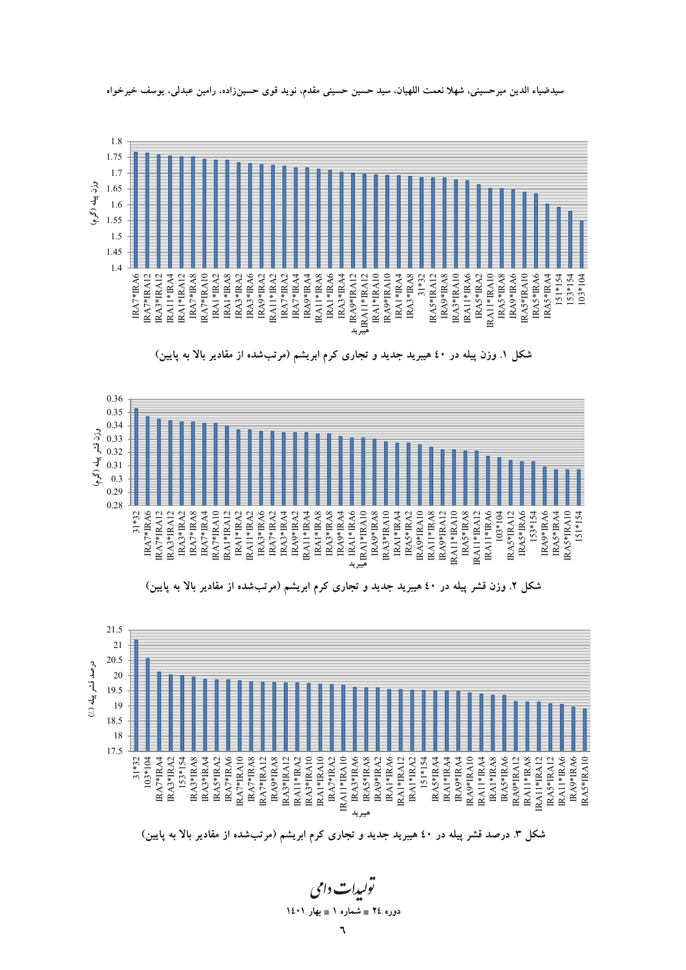











شکل ۳. درصد قشر پیله در ٤٠ هیبرید جدید و تجاری کرم ابریشم (مرتب $نده از مقادیر بالا به پایین)$ 

تولیدات دا<sup>ی</sup>ی **1401  1 - 24 -**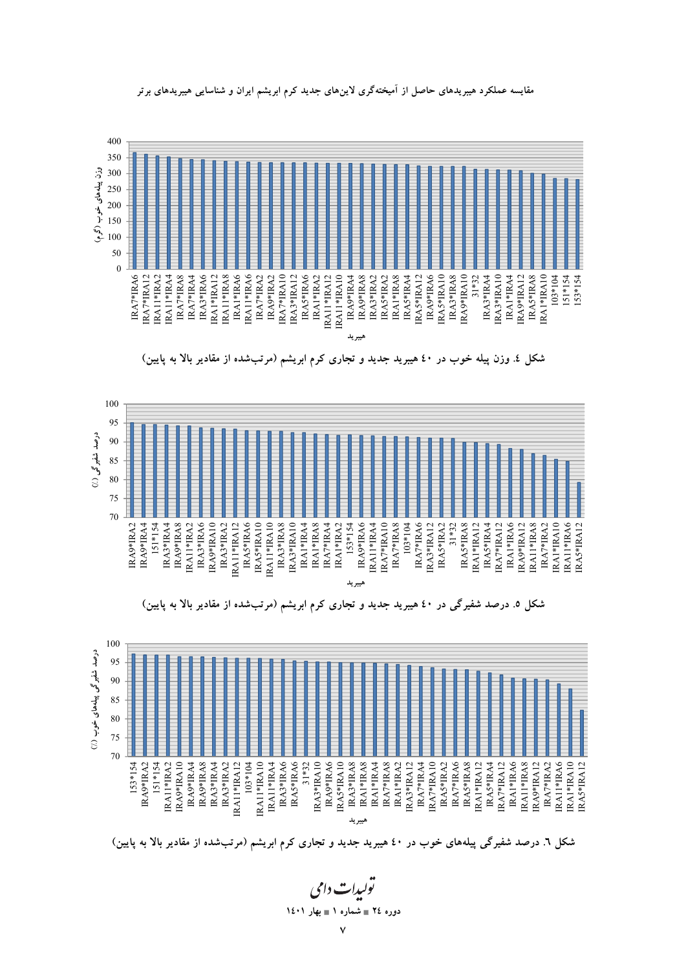

نقایسه عملکرد هیبریدهای حاصل از امیختهگری لاینهای جدید کرم ابریشم ایران و شناسایی هیبریدهای برتر









شفیرگی پیلههای خوب در ٤٠ هیبرید جدید و تجاری کرم ابریشم (مرتب $نده از مقادیر بالا به پایین)$ شکل ٦. درصد <sub>'</sub>

تولیدات دامی **1401  1 - 24 -**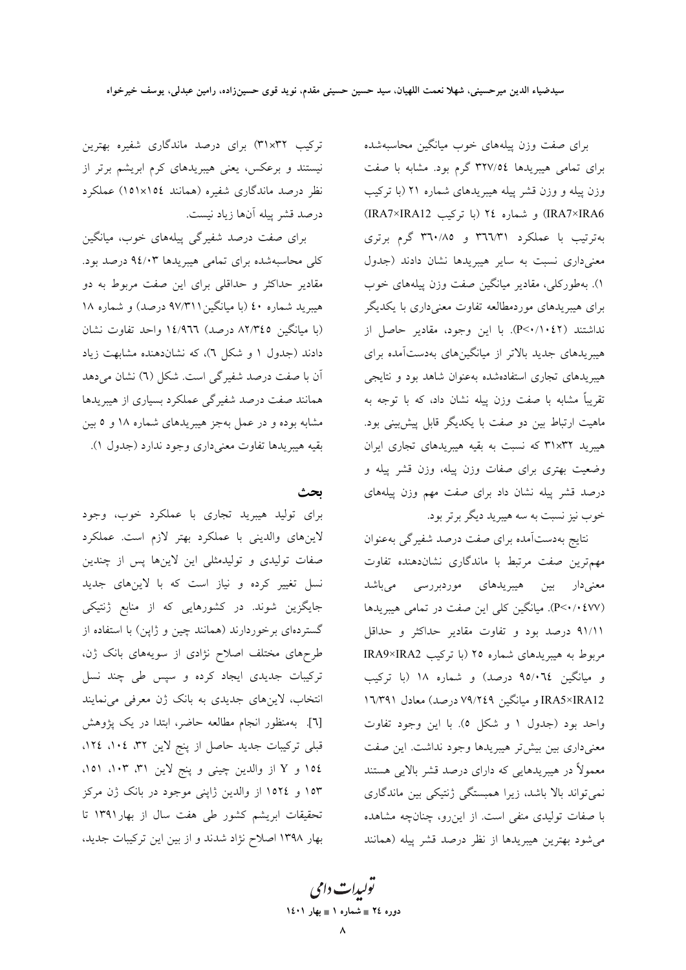برای صفت وزن پیلههای خوب میانگین محاسبهشده برای تمامی هیبریدها ٣٢٧/٥٤ گرم بود. مشابه با صفت وزن پیله و وزن قشر پیله هیبریدهای شماره ۲۱ (با ترکیب IRA7×IRA6) و شماره ٢٤ (با تركيب IRA7×IRA12) بهترتیب با عملکرد ۳٦٦/٣١ و ٣٦٠/٨٥ گرم برتری معنیداری نسبت به سایر هیبریدها نشان دادند (جدول ١). بهطوركلي، مقادير ميانگين صفت وزن پيلههاي خوب برای هیبریدهای موردمطالعه تفاوت معنیداری با یکدیگر نداشتند (P<٠/١٠٤٢). با اين وجود، مقادير حاصل از هیبریدهای جدید بالاتر از میانگینهای بهدستآمده برای هیبریدهای تجاری استفادهشده بهعنوان شاهد بود و نتایجی تقریباً مشابه با صفت وزن پیله نشان داد، که با توجه به ماهیت ارتباط بین دو صفت با یکدیگر قابل پیش بینی بود. هیبرید ۳۱×۳۱ که نسبت به بقیه هیبریدهای تجاری ایران وضعیت بهتری برای صفات وزن پیله، وزن قشر پیله و درصد قشر پیله نشان داد برای صفت مهم وزن پیلههای خوب نيز نسبت به سه هيبريد ديگر برتر بود.

نتایج بهدستآمده برای صفت درصد شفیرگی بهعنوان مهم ترین صفت مرتبط با ماندگاری نشاندهنده تفاوت معنیدار بین هیبریدهای موردبررسی میباشد (P<٠/٠٤٧٧). ميانگين كلي اين صفت در تمامي هيبريدها ۹۱/۱۱ درصد بود و تفاوت مقادیر حداکثر و حداقل مربوط به هیبریدهای شماره ۲۵ (با ترکیب IRA9×IRA2 و میانگین ۹۵/۰٦٤ درصد) و شماره ۱۸ (با ترکیب IRA5×IRA12 و میانگین ۷۹/۲٤۹ درصد) معادل ۱٦/٣٩۱ واحد بود (جدول ١ و شكل ٥). با اين وجود تفاوت معنیداری بین بیشتر هیبریدها وجود نداشت. این صفت معمولاً در هیبریدهایی که دارای درصد قشر بالایی هستند نمی تواند بالا باشد، زیرا همبستگی ژنتیکی بین ماندگاری با صفات تولیدی منفی است. از این رو، چنانچه مشاهده می شود بهترین هیبریدها از نظر درصد قشر پیله (همانند

ترکیب ۳۱×۳۱) برای درصد ماندگاری شفیره بهترین نیستند و برعکس، یعنی هیبریدهای کرم ابریشم برتر از نظر درصد ماندگاری شفیره (همانند ١٥٤×١٥١) عملکرد درصد قشر پیله آنها زیاد نیست.

برای صفت درصد شفیرگی پیلههای خوب، میانگین کلی محاسبهشده برای تمامی هیبریدها ۹٤/۰۳ درصد بود. مقادیر حداکثر و حداقلی برای این صفت مربوط به دو هیبرید شماره ٤٠ (با میانگین ٩٧/٣١١ درصد) و شماره ١٨ (با میانگین ۸۲/۳٤٥ درصد) ۱٤/۹٦٦ واحد تفاوت نشان دادند (جدول ۱ و شکل ۳)، که نشاندهنده مشابهت زیاد آن با صفت درصد شفیر گی است. شکل (٦) نشان می دهد همانند صفت درصد شفیرگی عملکرد بسیاری از هیبریدها مشابه بوده و در عمل بهجز هیبریدهای شماره ۱۸ و ۵ بین بقيه هيبريدها تفاوت معنىداري وجود ندارد (جدول ١).

بحث

برای تولید هیبرید تجاری با عملکرد خوب، وجود لاینهای والدینی با عملکرد بهتر لازم است. عملکرد صفات تولیدی و تولیدمثلی این لاینها پس از چندین نسل تغییر کرده و نیاز است که با لاینهای جدید جایگزین شوند. در کشورهایی که از منابع ژنتیکی گستردهای برخوردارند (همانند چین و ژاپن) با استفاده از طرحهای مختلف اصلاح نژادی از سویههای بانک ژن، ترکیبات جدیدی ایجاد کرده و سپس طی چند نسل انتخاب، لاینهای جدیدی به بانک ژن معرفی می نمایند [٦]. بهمنظور انجام مطالعه حاضر، ابتدا در يک پژوهش قبلی ترکیبات جدید حاصل از پنج لاین ۳۲، ۱۰٤، ۱۲٤، ١٥٤ و Y از والدين چيني و پنج لاين ٣١، ١٠٣، ١٥١، ۱۵۳ و ۱۵۲٤ از والدین ژاپنی موجود در بانک ژن مرکز تحقیقات ابریشم کشور طی هفت سال از بهار۱۳۹۱ تا بهار ۱۳۹۸ اصلاح نژاد شدند و از بین این ترکیبات جدید،

تو*لیدات دامی* دوره ٢٤ = شماره ١ = بهار ١٤٠١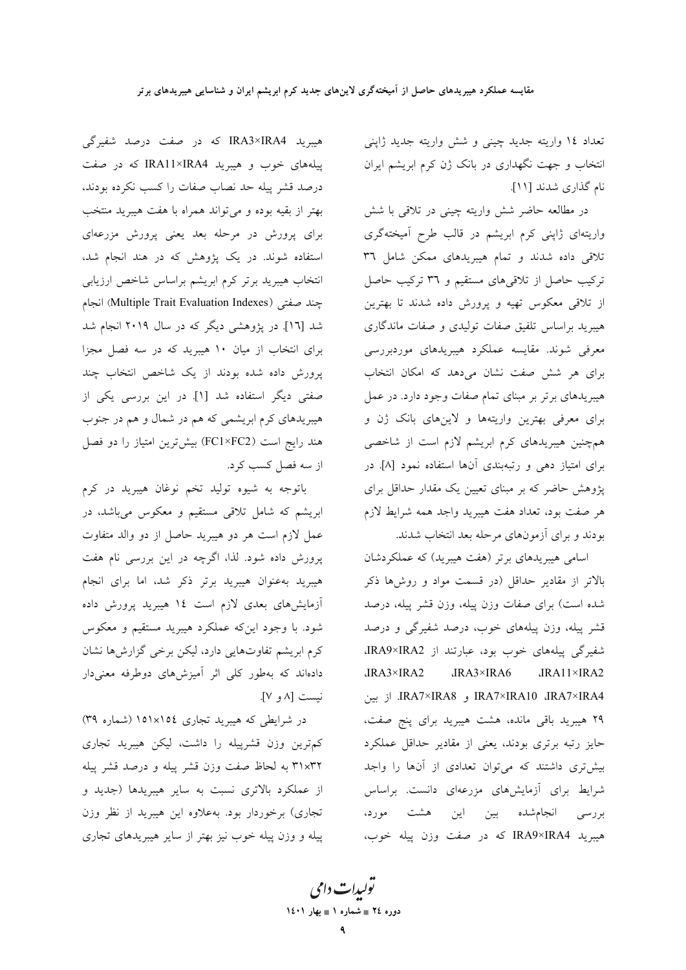تعداد ١٤ واريته جديد چيني و شش واريته جديد ژاپني انتخاب و جهت نگهداری در بانک ژن کرم ابریشم ایران نام گذاری شدند [۱۱].

در مطالعه حاضر شش واريته چيني در تلاقي با شش واریتهای ژاپنی کرم ابریشم در قالب طرح آمیختهگری تلاقی داده شدند و تمام هیبریدهای ممکن شامل ٣٦ ترکیب حاصل از تلاقیهای مستقیم و ۳٦ ترکیب حاصل از تلاقی معکوس تهیه و پرورش داده شدند تا بهترین هیبرید براساس تلفیق صفات تولیدی و صفات ماندگاری معرفی شوند. مقایسه عملکرد هیبریدهای موردبررسی برای هر شش صفت نشان می دهد که امکان انتخاب هیبریدهای برتر بر مبنای تمام صفات وجود دارد. در عمل برای معرفی بهترین واریتهها و لاینهای بانک ژن و همچنین هیبریدهای کرم ابریشم لازم است از شاخصی برای امتیاز دهی و رتبهبندی آنها استفاده نمود [۸] در پژوهش حاضر که بر مبنای تعیین یک مقدار حداقل برای هر صفت بود، تعداد هفت هيبريد واجد همه شرايط لازم بودند و برای آزمونهای مرحله بعد انتخاب شدند.

اسامی هیبریدهای برتر (هفت هیبرید) که عملکردشان بالاتر از مقادیر حداقل (در قسمت مواد و روشها ذکر شده است) برای صفات وزن پیله، وزن قشر پیله، درصد قشر پیله، وزن پیلههای خوب، درصد شفیرگی و درصد شفیرگی پیلههای خوب بود، عبارتند از IRA9×IRA2،  $IRA3\times IRA2$  $JRA3\times IRA6$  $JRA11 \times IRA2$ IRA7×IRA8 و IRA7×IRA10 IRA7×IRA4. از بين ۲۹ هیبرید باقی مانده، هشت هیبرید برای پنج صفت، حایز رتبه برتری بودند، یعنی از مقادیر حداقل عملکرد بیشتری داشتند که میتوان تعدادی از آنها را واجد شرایط برای آزمایشهای مزرعهای دانست. براساس بررسی انجامشده بین این هشت مورد، هيبريد IRA9×IRA4 كه در صفت وزن پيله خوب،

هیبرید IRA3×IRA4 که در صفت درصد شفیرگی پیلههای خوب و هیبرید IRA11×IRA4 که در صفت درصد قشر پیله حد نصاب صفات را کسب نکرده بودند، بهتر از بقیه بوده و میتواند همراه با هفت هیبرید منتخب برای پرورش در مرحله بعد یعنی پرورش مزرعهای استفاده شوند. در یک پژوهش که در هند انجام شد، انتخاب هيبريد برتر كرم ابريشم براساس شاخص ارزيابي جند صفتی (Multiple Trait Evaluation Indexes) انجام شد [۱۲]. در پژوهشی دیگر که در سال ۲۰۱۹ انجام شد برای انتخاب از میان ۱۰ هیبرید که در سه فصل مجزا پرورش داده شده بودند از یک شاخص انتخاب چند صفتی دیگر استفاده شد [۱]. در این بررسی یکی از هیبریدهای کرم ابریشمی که هم در شمال و هم در جنوب هند رایج است (FC1×FC2) بیشترین امتیاز را دو فصل از سه فصل کسب کرد.

باتوجه به شیوه تولید تخم نوغان هیبرید در کرم ابریشم که شامل تلاقی مستقیم و معکوس میباشد، در عمل لازم است هر دو هیبرید حاصل از دو والد متفاوت پرورش داده شود. لذا، اگرچه در این بررسی نام هفت هیبرید بهعنوان هیبرید برتر ذکر شد، اما برای انجام آزمایشهای بعدی لازم است ۱٤ هیبرید پرورش داده شود. با وجود اینکه عملکرد هیبرید مستقیم و معکوس کرم ابریشم تفاوتهایی دارد، لیکن برخی گزارشها نشان دادهاند که بهطور کلی اثر آمیزشهای دوطرفه معنیدار نيست [٨ و ٧].

در شرایطی که هیبرید تجاری ۱۵۱×۱۵۱ (شماره ۳۹) کم ترین وزن قشرپیله را داشت، لیکن هیبرید تجاری ۳۱×۳۲ به لحاظ صفت وزن قشر پیله و درصد قشر پیله از عملکرد بالاتری نسبت به سایر هیبریدها (جدید و تجاری) برخوردار بود. بهعلاوه این هیبرید از نظر وزن پیله و وزن پیله خوب نیز بهتر از سایر هیبریدهای تجاری

تو<sub>لیدا</sub>ت دامی دوره ٢٤ = شماره ١ = بهار ١٤٠١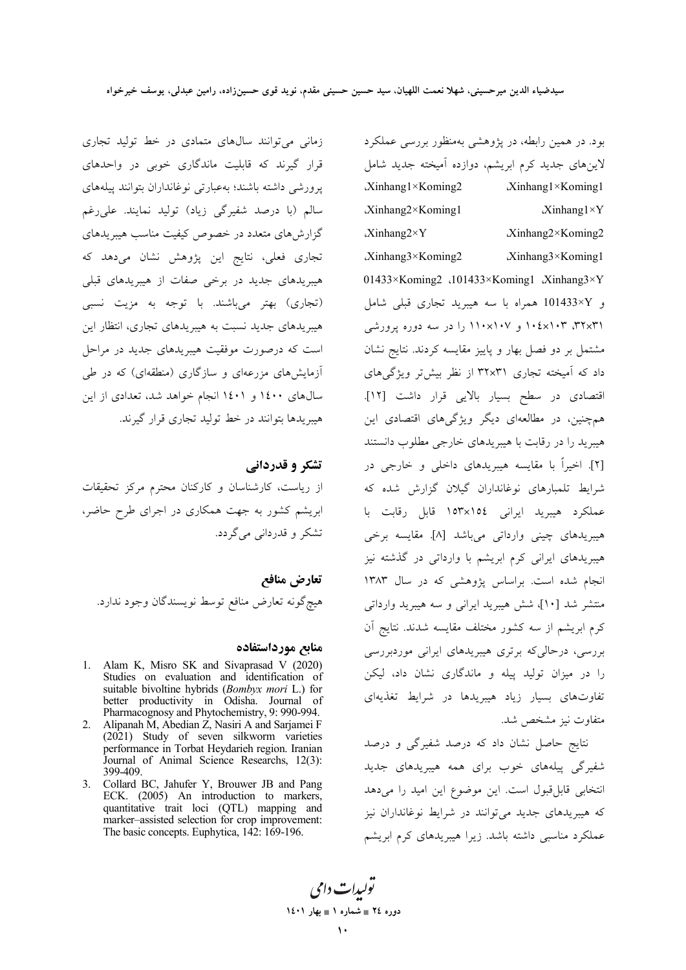بود. در همین رابطه، در پژوهشی بهمنظور بررسی عملکرد لاینهای جدید کرم ابریشم، دوازده آمیخته جدید شامل Xinhang1×Koming2 Xinhang1×Koming1 Xinhang2×Koming1  $Xinhang1\times Y$  $Xinhang2\times Y$ Xinhang2×Koming2 .Xinhang3×Koming2 Xinhang3×Koming1 01433×Koming2 .101433×Koming1 .Xinhang3×Y و 101433×101 همراه با سه هيبريد تجاري قبلي شامل ۰۱۰ ×۳۲ مخ۱۰ و ۱۱۰×۱۱۰ را در سه دوره پرورشی مشتمل بر دو فصل بهار و پاییز مقایسه کردند. نتایج نشان داد که آمیخته تجاری ۳۱×۳۲ از نظر بیش تر ویژگیهای اقتصادی در سطح بسیار بالایی قرار داشت [١٢]. همچنین، در مطالعهای دیگر ویژگیهای اقتصادی این هیبرید را در رقابت با هیبریدهای خارجی مطلوب دانستند [۲]. اخیراً با مقایسه هیبریدهای داخلی و خارجی در شرایط تلمبارهای نوغانداران گیلان گزارش شده که عملکرد هیبرید ایرانی ۱۵۴×۱۵۴ قابل رقابت با هيبريدهاي چيني وارداتي مي باشد [٨]. مقايسه برخي هیبریدهای ایرانی کرم ابریشم با وارداتی در گذشته نیز انجام شده است. براساس پژوهشی که در سال ۱۳۸۳ منتشر شد [۱۰]، شش هیبرید ایرانی و سه هیبرید وارداتی كرم ابريشم از سه كشور مختلف مقايسه شدند. نتايج آن بررسی، درحالی که برتری هیبریدهای ایرانی موردبررسی را در میزان تولید پیله و ماندگاری نشان داد، لیکن تفاوتهای بسیار زیاد هیبریدها در شرایط تغذیهای متفاوت نيز مشخص شد.

نتایج حاصل نشان داد که درصد شفیرگی و درصد شفیرگی پیلههای خوب برای همه هیبریدهای جدید انتخابی قابل قبول است. این موضوع این امید را می دهد که هیبریدهای جدید می توانند در شرایط نوغانداران نیز عملکرد مناسبی داشته باشد. زیرا هیبریدهای کرم ابریشم

زمانی می توانند سال های متمادی در خط تولید تجاری قرار گیرند که قابلیت ماندگاری خوبی در واحدهای پرورشی داشته باشند؛ بهعبارتی نوغانداران بتوانند پیلههای سالم (با درصد شفیرگی زیاد) تولید نمایند. علیرغم گزارش های متعدد در خصوص کیفیت مناسب هیبریدهای تجاری فعلی، نتایج این پژوهش نشان میدهد که هیبریدهای جدید در برخی صفات از هیبریدهای قبلی (تجاری) بهتر میباشند. با توجه به مزیت نسبی هیبریدهای جدید نسبت به هیبریدهای تجاری، انتظار این است که درصورت موفقیت هیبریدهای جدید در مراحل آزمایشهای مزرعهای و سازگاری (منطقهای) که در طی سالهای ۱٤۰۰ و ۱٤۰۱ انجام خواهد شد، تعدادی از این هیبریدها بتوانند در خط تولید تجاری قرار گیرند.

#### تشکر و قدردانی

از ریاست، کارشناسان و کارکنان محترم مرکز تحقیقات ابریشم کشور به جهت همکاری در اجرای طرح حاضر، تشکر و قدردانی میگردد.

تعارض منافع هيچگونه تعارض منافع توسط نويسندگان وجود ندارد.

#### منابع مورداستفاده

- 1. Alam K, Misro SK and Sivaprasad V (2020) Studies on evaluation and identification of suitable bivoltine hybrids (Bombyx mori L.) for better productivity in Odisha. Journal of Pharmacognosy and Phytochemistry, 9: 990-994.
- 2. Alipanah M, Abedian Z, Nasiri A and Sarjamei F (2021) Study of seven silkworm varieties performance in Torbat Heydarieh region. Iranian Journal of Animal Science Researchs, 12(3): 399-409.
- 3. Collard BC, Jahufer Y, Brouwer JB and Pang ECK. (2005) An introduction to markers, quantitative trait loci (QTL) mapping and marker-assisted selection for crop improvement: The basic concepts. Euphytica,  $142:169-196$ .

يولىدا**ت** دامى دوره ٢٤ = شماره ١ = بهار ١٤٠١